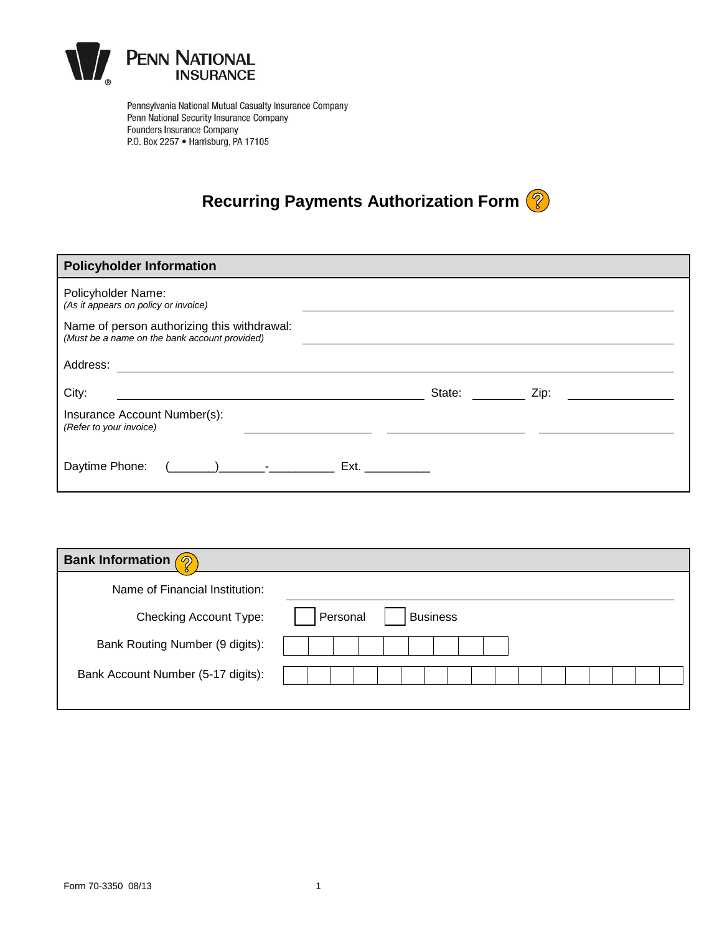

Pennsylvania National Mutual Casualty Insurance Company Penn National Security Insurance Company Founders Insurance Company P.O. Box 2257 . Harrisburg, PA 17105

# **Recurring Payments Authorization Form**

| <b>Policyholder Information</b>                                                                                               |                       |  |  |  |  |
|-------------------------------------------------------------------------------------------------------------------------------|-----------------------|--|--|--|--|
| Policyholder Name:<br>(As it appears on policy or invoice)                                                                    |                       |  |  |  |  |
| Name of person authorizing this withdrawal:<br>(Must be a name on the bank account provided)                                  |                       |  |  |  |  |
| Address:                                                                                                                      |                       |  |  |  |  |
| City:                                                                                                                         | State: State:<br>Zip: |  |  |  |  |
| Insurance Account Number(s):<br>(Refer to your invoice)                                                                       |                       |  |  |  |  |
| $\left(\begin{array}{ccc} 1 & 1 \end{array}\right)$ and $\left(\begin{array}{ccc} 1 & 1 \end{array}\right)$<br>Daytime Phone: | Ext. <b>Ext</b>       |  |  |  |  |

| <b>Bank Information</b><br>$\sigma$ |          |                 |  |  |  |  |
|-------------------------------------|----------|-----------------|--|--|--|--|
| Name of Financial Institution:      |          |                 |  |  |  |  |
| <b>Checking Account Type:</b>       | Personal | <b>Business</b> |  |  |  |  |
| Bank Routing Number (9 digits):     |          |                 |  |  |  |  |
| Bank Account Number (5-17 digits):  |          |                 |  |  |  |  |
|                                     |          |                 |  |  |  |  |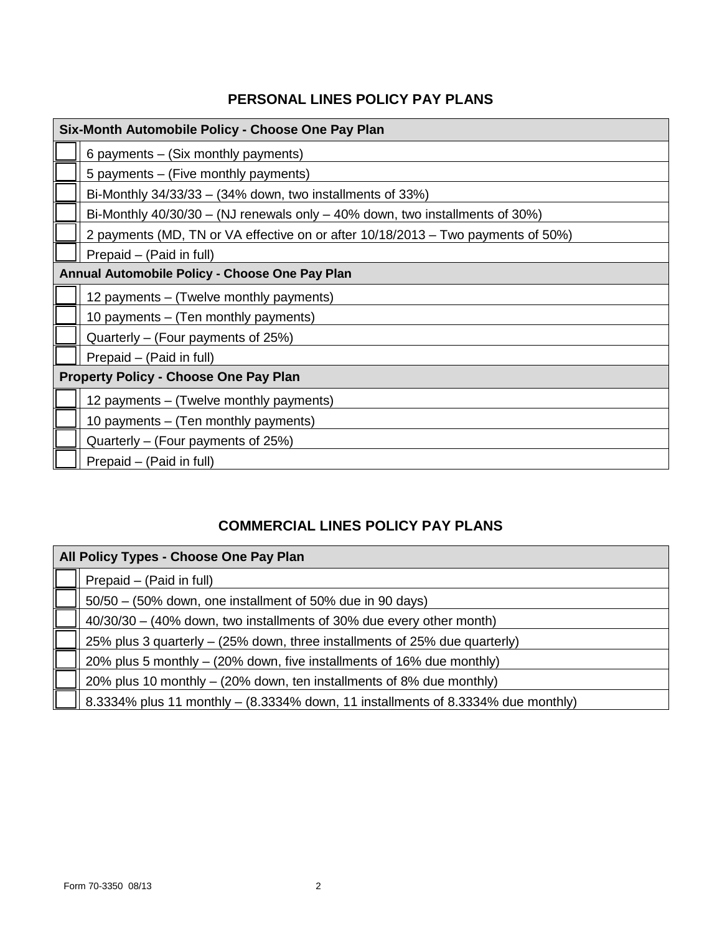## **PERSONAL LINES POLICY PAY PLANS**

| Six-Month Automobile Policy - Choose One Pay Plan                                |  |  |  |
|----------------------------------------------------------------------------------|--|--|--|
| 6 payments - (Six monthly payments)                                              |  |  |  |
| 5 payments - (Five monthly payments)                                             |  |  |  |
| Bi-Monthly $34/33/33 - (34\%$ down, two installments of $33\%)$                  |  |  |  |
| Bi-Monthly $40/30/30 - (NJ$ renewals only $-40\%$ down, two installments of 30%) |  |  |  |
| 2 payments (MD, TN or VA effective on or after 10/18/2013 – Two payments of 50%) |  |  |  |
| Prepaid - (Paid in full)                                                         |  |  |  |
| Annual Automobile Policy - Choose One Pay Plan                                   |  |  |  |
| 12 payments - (Twelve monthly payments)                                          |  |  |  |
| 10 payments – (Ten monthly payments)                                             |  |  |  |
| Quarterly – (Four payments of 25%)                                               |  |  |  |
| Prepaid – (Paid in full)                                                         |  |  |  |
| <b>Property Policy - Choose One Pay Plan</b>                                     |  |  |  |
| 12 payments – (Twelve monthly payments)                                          |  |  |  |
| 10 payments – (Ten monthly payments)                                             |  |  |  |
| Quarterly – (Four payments of 25%)                                               |  |  |  |
| Prepaid – (Paid in full)                                                         |  |  |  |

# **COMMERCIAL LINES POLICY PAY PLANS**

| All Policy Types - Choose One Pay Plan |                                                                                  |  |  |
|----------------------------------------|----------------------------------------------------------------------------------|--|--|
|                                        | Prepaid - (Paid in full)                                                         |  |  |
|                                        | 50/50 – (50% down, one installment of 50% due in 90 days)                        |  |  |
|                                        | 40/30/30 - (40% down, two installments of 30% due every other month)             |  |  |
|                                        | 25% plus 3 quarterly $-$ (25% down, three installments of 25% due quarterly)     |  |  |
|                                        | 20% plus 5 monthly – (20% down, five installments of 16% due monthly)            |  |  |
|                                        | 20% plus 10 monthly – (20% down, ten installments of 8% due monthly)             |  |  |
|                                        | 8.3334% plus 11 monthly - (8.3334% down, 11 installments of 8.3334% due monthly) |  |  |